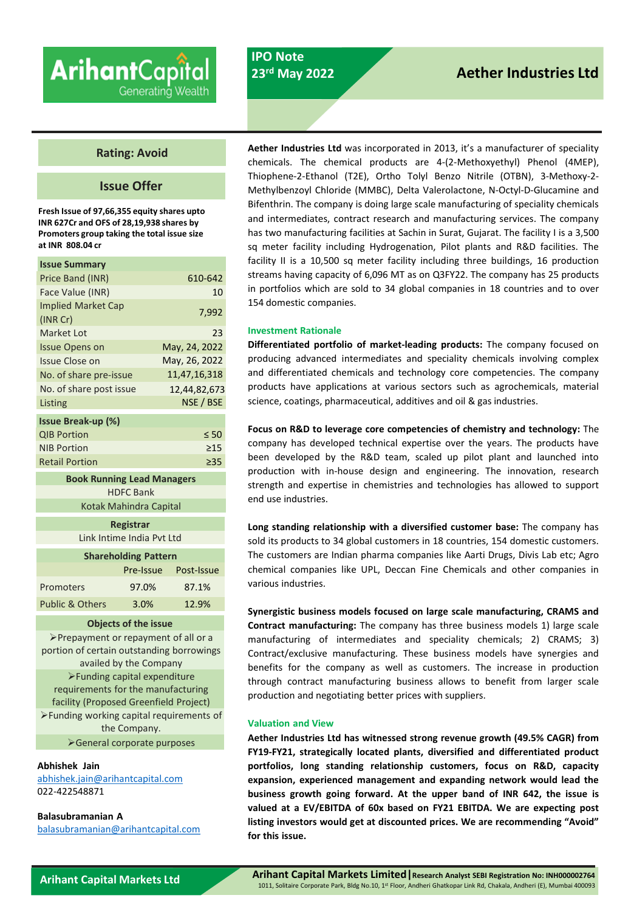# **Arihant**Capital Generating Wealth

## **IPO Note 23rd May 2022**

# **Aether Industries Ltd**

### **Rating: Avoid**

### **Issue Offer**

**Fresh Issue of 97,66,355 equity shares upto INR 627Cr and OFS of 28,19,938 shares by Promoters group taking the total issue size at INR 808.04 cr**

| <b>Issue Summary</b>      |               |
|---------------------------|---------------|
| Price Band (INR)          | 610-642       |
| Face Value (INR)          | 10            |
| <b>Implied Market Cap</b> | 7,992         |
| (INR Cr)                  |               |
| Market Lot                | 23            |
| <b>Issue Opens on</b>     | May, 24, 2022 |
| <b>Issue Close on</b>     | May, 26, 2022 |
| No. of share pre-issue    | 11,47,16,318  |
| No. of share post issue   | 12,44,82,673  |
| Listing                   | NSE / BSE     |
| <b>Issue Break-up (%)</b> |               |
|                           |               |
| <b>QIB Portion</b>        | $\leq 50$     |
| <b>NIB Portion</b>        | $\geq$ 15     |
| <b>Retail Portion</b>     | $\geq$ 35     |

**Book Running Lead Managers** HDFC Bank Kotak Mahindra Capital

> **Registrar** Link Intime India Pvt Ltd

| <b>Shareholding Pattern</b> |           |            |  |  |
|-----------------------------|-----------|------------|--|--|
|                             | Pre-Issue | Post-Issue |  |  |
| Promoters                   | 97.0%     | 87.1%      |  |  |
| Public & Others             | 3.0%      | 12.9%      |  |  |

#### **Objects of the issue**

Prepayment or repayment of all or a portion of certain outstanding borrowings availed by the Company Funding capital expenditure requirements for the manufacturing facility (Proposed Greenfield Project) Funding working capital requirements of the Company.

General corporate purposes

#### **Abhishek Jain**

[abhishek.jain@arihantcapital.com](mailto:abhishek.jain@arihantcapital.com) 022-422548871

#### **Balasubramanian A**

[balasubramanian@arihantcapital.com](mailto:balasubramanian@arihantcapital.com)

**Aether Industries Ltd** was incorporated in 2013, it's a manufacturer of speciality chemicals. The chemical products are 4-(2-Methoxyethyl) Phenol (4MEP), Thiophene-2-Ethanol (T2E), Ortho Tolyl Benzo Nitrile (OTBN), 3-Methoxy-2- Methylbenzoyl Chloride (MMBC), Delta Valerolactone, N-Octyl-D-Glucamine and Bifenthrin. The company is doing large scale manufacturing of speciality chemicals and intermediates, contract research and manufacturing services. The company has two manufacturing facilities at Sachin in Surat, Gujarat. The facility I is a 3,500 sq meter facility including Hydrogenation, Pilot plants and R&D facilities. The facility II is a 10,500 sq meter facility including three buildings, 16 production streams having capacity of 6,096 MT as on Q3FY22. The company has 25 products in portfolios which are sold to 34 global companies in 18 countries and to over 154 domestic companies.

#### **Investment Rationale**

**Differentiated portfolio of market-leading products:** The company focused on producing advanced intermediates and speciality chemicals involving complex and differentiated chemicals and technology core competencies. The company products have applications at various sectors such as agrochemicals, material science, coatings, pharmaceutical, additives and oil & gas industries.

**Focus on R&D to leverage core competencies of chemistry and technology:** The company has developed technical expertise over the years. The products have been developed by the R&D team, scaled up pilot plant and launched into production with in-house design and engineering. The innovation, research strength and expertise in chemistries and technologies has allowed to support end use industries.

**Long standing relationship with a diversified customer base:** The company has sold its products to 34 global customers in 18 countries, 154 domestic customers. The customers are Indian pharma companies like Aarti Drugs, Divis Lab etc; Agro chemical companies like UPL, Deccan Fine Chemicals and other companies in various industries.

**Synergistic business models focused on large scale manufacturing, CRAMS and Contract manufacturing:** The company has three business models 1) large scale manufacturing of intermediates and speciality chemicals; 2) CRAMS; 3) Contract/exclusive manufacturing. These business models have synergies and benefits for the company as well as customers. The increase in production through contract manufacturing business allows to benefit from larger scale production and negotiating better prices with suppliers.

#### **Valuation and View**

**Aether Industries Ltd has witnessed strong revenue growth (49.5% CAGR) from FY19-FY21, strategically located plants, diversified and differentiated product portfolios, long standing relationship customers, focus on R&D, capacity expansion, experienced management and expanding network would lead the business growth going forward. At the upper band of INR 642, the issue is valued at a EV/EBITDA of 60x based on FY21 EBITDA. We are expecting post listing investors would get at discounted prices. We are recommending "Avoid" for this issue.**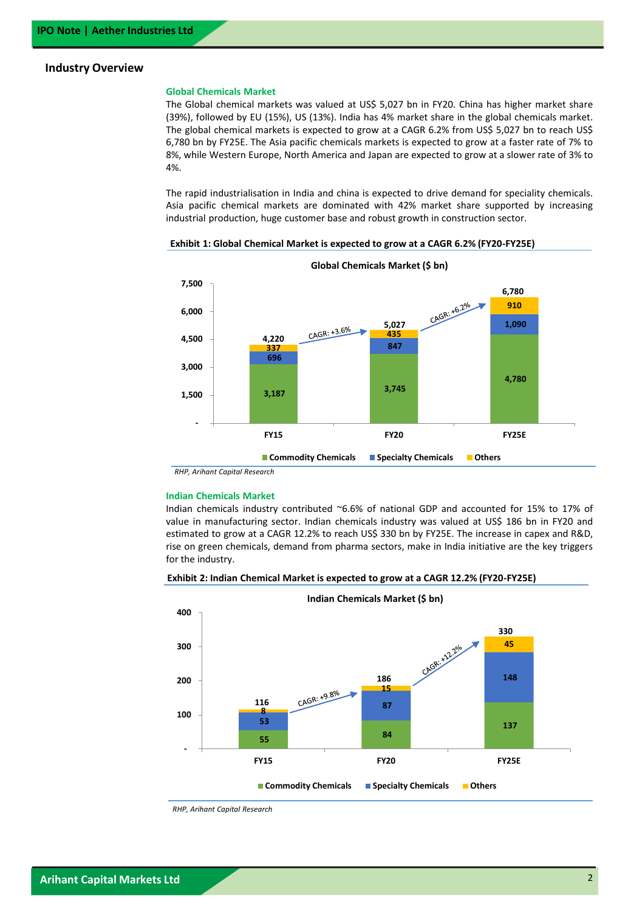#### **Industry Overview**

#### **Global Chemicals Market**

The Global chemical markets was valued at US\$ 5,027 bn in FY20. China has higher market share (39%), followed by EU (15%), US (13%). India has 4% market share in the global chemicals market. The global chemical markets is expected to grow at a CAGR 6.2% from US\$ 5,027 bn to reach US\$ 6,780 bn by FY25E. The Asia pacific chemicals markets is expected to grow at a faster rate of 7% to 8%, while Western Europe, North America and Japan are expected to grow at a slower rate of 3% to 4%.

The rapid industrialisation in India and china is expected to drive demand for speciality chemicals. Asia pacific chemical markets are dominated with 42% market share supported by increasing industrial production, huge customer base and robust growth in construction sector.





**Global Chemicals Market (\$ bn)**

*RHP, Arihant Capital Research*

#### **Indian Chemicals Market**

Indian chemicals industry contributed ~6.6% of national GDP and accounted for 15% to 17% of value in manufacturing sector. Indian chemicals industry was valued at US\$ 186 bn in FY20 and estimated to grow at a CAGR 12.2% to reach US\$ 330 bn by FY25E. The increase in capex and R&D, rise on green chemicals, demand from pharma sectors, make in India initiative are the key triggers for the industry.





*RHP, Arihant Capital Research*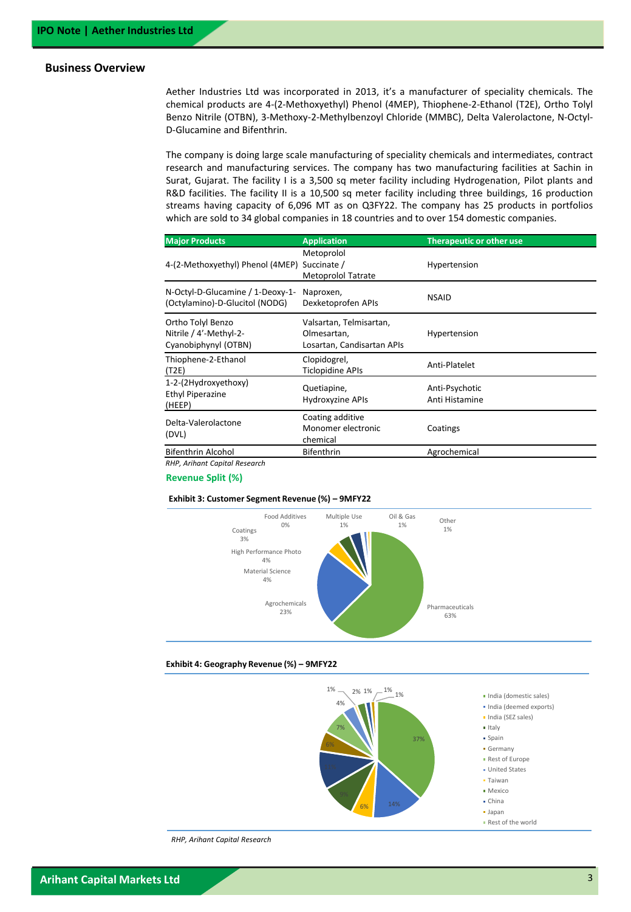### **Business Overview**

Aether Industries Ltd was incorporated in 2013, it's a manufacturer of speciality chemicals. The chemical products are 4-(2-Methoxyethyl) Phenol (4MEP), Thiophene-2-Ethanol (T2E), Ortho Tolyl Benzo Nitrile (OTBN), 3-Methoxy-2-Methylbenzoyl Chloride (MMBC), Delta Valerolactone, N-Octyl-D-Glucamine and Bifenthrin.

The company is doing large scale manufacturing of speciality chemicals and intermediates, contract research and manufacturing services. The company has two manufacturing facilities at Sachin in Surat, Gujarat. The facility I is a 3,500 sq meter facility including Hydrogenation, Pilot plants and R&D facilities. The facility II is a 10,500 sq meter facility including three buildings, 16 production streams having capacity of 6,096 MT as on Q3FY22. The company has 25 products in portfolios which are sold to 34 global companies in 18 countries and to over 154 domestic companies.

| <b>Major Products</b>                                               | <b>Application</b>                                                   | <b>Therapeutic or other use</b>  |
|---------------------------------------------------------------------|----------------------------------------------------------------------|----------------------------------|
| 4-(2-Methoxyethyl) Phenol (4MEP)                                    | Metoprolol<br>Succinate /<br><b>Metoprolol Tatrate</b>               | Hypertension                     |
| N-Octyl-D-Glucamine / 1-Deoxy-1-<br>(Octylamino)-D-Glucitol (NODG)  | Naproxen,<br>Dexketoprofen APIs                                      | <b>NSAID</b>                     |
| Ortho Tolyl Benzo<br>Nitrile / 4'-Methyl-2-<br>Cyanobiphynyl (OTBN) | Valsartan, Telmisartan,<br>Olmesartan,<br>Losartan, Candisartan APIs | Hypertension                     |
| Thiophene-2-Ethanol<br>(T2E)                                        | Clopidogrel,<br>Ticlopidine APIs                                     | Anti-Platelet                    |
| 1-2-(2Hydroxyethoxy)<br>Ethyl Piperazine<br>(HEEP)                  | Quetiapine,<br>Hydroxyzine APIs                                      | Anti-Psychotic<br>Anti Histamine |
| Delta-Valerolactone<br>(DVL)                                        | Coating additive<br>Monomer electronic<br>chemical                   | Coatings                         |
| <b>Bifenthrin Alcohol</b>                                           | <b>Bifenthrin</b>                                                    | Agrochemical                     |
| <b>RHP. Arihant Capital Research</b>                                |                                                                      |                                  |

**Revenue Split (%)**

#### **Exhibit 3: Customer Segment Revenue (%) – 9MFY22**



#### **Exhibit 4: Geography Revenue (%) – 9MFY22**



*RHP, Arihant Capital Research*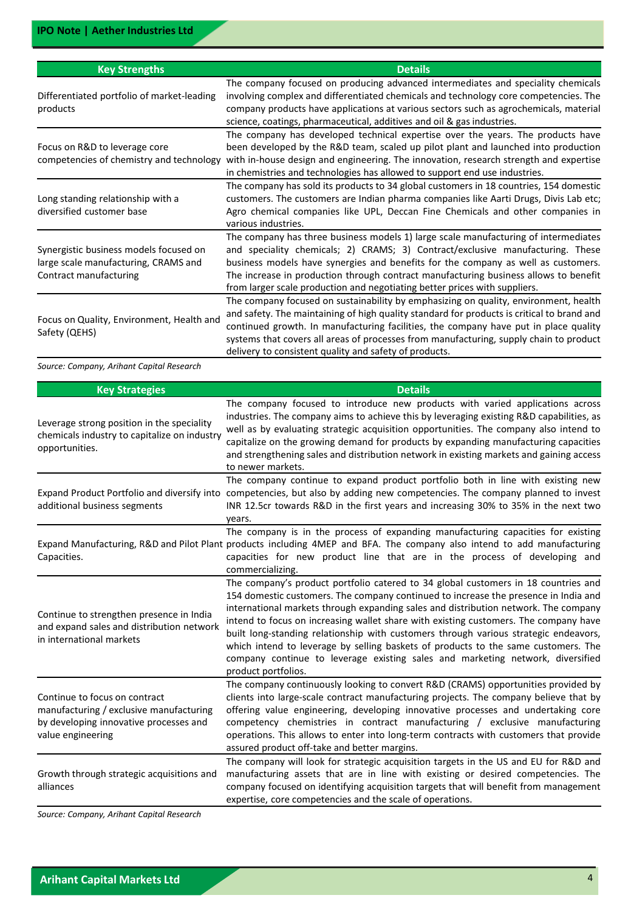| <b>Key Strengths</b>                                                                                     | <b>Details</b>                                                                                                                                                                                                                                                                                                                                                                                                                   |
|----------------------------------------------------------------------------------------------------------|----------------------------------------------------------------------------------------------------------------------------------------------------------------------------------------------------------------------------------------------------------------------------------------------------------------------------------------------------------------------------------------------------------------------------------|
| Differentiated portfolio of market-leading<br>products                                                   | The company focused on producing advanced intermediates and speciality chemicals<br>involving complex and differentiated chemicals and technology core competencies. The<br>company products have applications at various sectors such as agrochemicals, material<br>science, coatings, pharmaceutical, additives and oil & gas industries.                                                                                      |
| Focus on R&D to leverage core<br>competencies of chemistry and technology                                | The company has developed technical expertise over the years. The products have<br>been developed by the R&D team, scaled up pilot plant and launched into production<br>with in-house design and engineering. The innovation, research strength and expertise<br>in chemistries and technologies has allowed to support end use industries.                                                                                     |
| Long standing relationship with a<br>diversified customer base                                           | The company has sold its products to 34 global customers in 18 countries, 154 domestic<br>customers. The customers are Indian pharma companies like Aarti Drugs, Divis Lab etc;<br>Agro chemical companies like UPL, Deccan Fine Chemicals and other companies in<br>various industries.                                                                                                                                         |
| Synergistic business models focused on<br>large scale manufacturing, CRAMS and<br>Contract manufacturing | The company has three business models 1) large scale manufacturing of intermediates<br>and speciality chemicals; 2) CRAMS; 3) Contract/exclusive manufacturing. These<br>business models have synergies and benefits for the company as well as customers.<br>The increase in production through contract manufacturing business allows to benefit<br>from larger scale production and negotiating better prices with suppliers. |
| Focus on Quality, Environment, Health and<br>Safety (QEHS)                                               | The company focused on sustainability by emphasizing on quality, environment, health<br>and safety. The maintaining of high quality standard for products is critical to brand and<br>continued growth. In manufacturing facilities, the company have put in place quality<br>systems that covers all areas of processes from manufacturing, supply chain to product<br>delivery to consistent quality and safety of products.   |

*Source: Company, Arihant Capital Research*

| <b>Key Strategies</b>                                                                                                                   | <b>Details</b>                                                                                                                                                                                                                                                                                                                                                                                                                                                                                                                                                                                                                                  |
|-----------------------------------------------------------------------------------------------------------------------------------------|-------------------------------------------------------------------------------------------------------------------------------------------------------------------------------------------------------------------------------------------------------------------------------------------------------------------------------------------------------------------------------------------------------------------------------------------------------------------------------------------------------------------------------------------------------------------------------------------------------------------------------------------------|
| Leverage strong position in the speciality<br>chemicals industry to capitalize on industry<br>opportunities.                            | The company focused to introduce new products with varied applications across<br>industries. The company aims to achieve this by leveraging existing R&D capabilities, as<br>well as by evaluating strategic acquisition opportunities. The company also intend to<br>capitalize on the growing demand for products by expanding manufacturing capacities<br>and strengthening sales and distribution network in existing markets and gaining access<br>to newer markets.                                                                                                                                                                       |
| additional business segments                                                                                                            | The company continue to expand product portfolio both in line with existing new<br>Expand Product Portfolio and diversify into competencies, but also by adding new competencies. The company planned to invest<br>INR 12.5cr towards R&D in the first years and increasing 30% to 35% in the next two<br>years.                                                                                                                                                                                                                                                                                                                                |
| Capacities.                                                                                                                             | The company is in the process of expanding manufacturing capacities for existing<br>Expand Manufacturing, R&D and Pilot Plant products including 4MEP and BFA. The company also intend to add manufacturing<br>capacities for new product line that are in the process of developing and<br>commercializing.                                                                                                                                                                                                                                                                                                                                    |
| Continue to strengthen presence in India<br>and expand sales and distribution network<br>in international markets                       | The company's product portfolio catered to 34 global customers in 18 countries and<br>154 domestic customers. The company continued to increase the presence in India and<br>international markets through expanding sales and distribution network. The company<br>intend to focus on increasing wallet share with existing customers. The company have<br>built long-standing relationship with customers through various strategic endeavors,<br>which intend to leverage by selling baskets of products to the same customers. The<br>company continue to leverage existing sales and marketing network, diversified<br>product portfolios. |
| Continue to focus on contract<br>manufacturing / exclusive manufacturing<br>by developing innovative processes and<br>value engineering | The company continuously looking to convert R&D (CRAMS) opportunities provided by<br>clients into large-scale contract manufacturing projects. The company believe that by<br>offering value engineering, developing innovative processes and undertaking core<br>competency chemistries in contract manufacturing / exclusive manufacturing<br>operations. This allows to enter into long-term contracts with customers that provide<br>assured product off-take and better margins.                                                                                                                                                           |
| Growth through strategic acquisitions and<br>alliances                                                                                  | The company will look for strategic acquisition targets in the US and EU for R&D and<br>manufacturing assets that are in line with existing or desired competencies. The<br>company focused on identifying acquisition targets that will benefit from management<br>expertise, core competencies and the scale of operations.                                                                                                                                                                                                                                                                                                                   |

*Source: Company, Arihant Capital Research*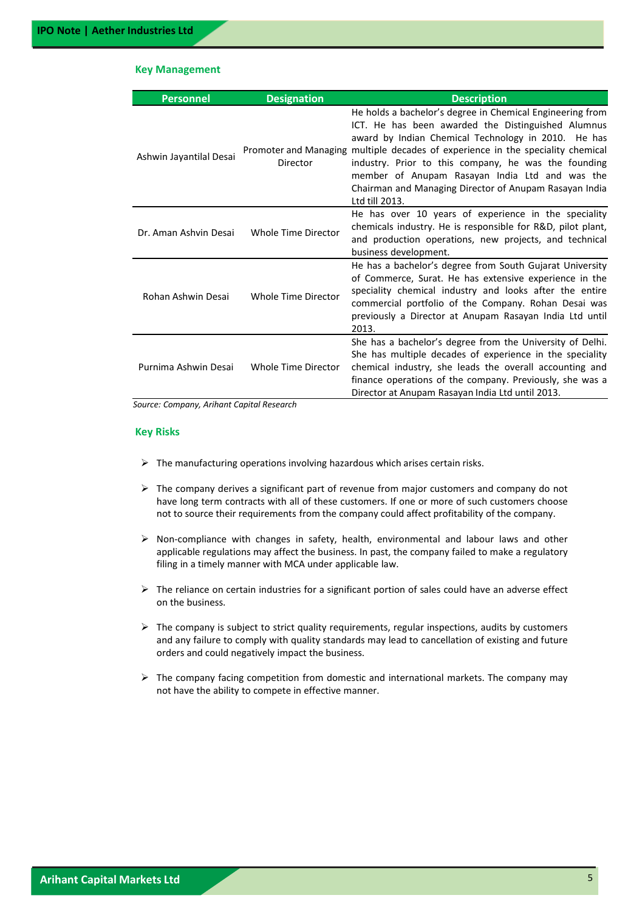#### **Key Management**

| <b>Personnel</b>        | <b>Designation</b>  | <b>Description</b>                                                                                                                                                                                                                                                                                                                                                                                                                              |
|-------------------------|---------------------|-------------------------------------------------------------------------------------------------------------------------------------------------------------------------------------------------------------------------------------------------------------------------------------------------------------------------------------------------------------------------------------------------------------------------------------------------|
| Ashwin Jayantilal Desai | Director            | He holds a bachelor's degree in Chemical Engineering from<br>ICT. He has been awarded the Distinguished Alumnus<br>award by Indian Chemical Technology in 2010. He has<br>Promoter and Managing multiple decades of experience in the speciality chemical<br>industry. Prior to this company, he was the founding<br>member of Anupam Rasayan India Ltd and was the<br>Chairman and Managing Director of Anupam Rasayan India<br>Ltd till 2013. |
| Dr. Aman Ashvin Desai   | Whole Time Director | He has over 10 years of experience in the speciality<br>chemicals industry. He is responsible for R&D, pilot plant,<br>and production operations, new projects, and technical<br>business development.                                                                                                                                                                                                                                          |
| Rohan Ashwin Desai      | Whole Time Director | He has a bachelor's degree from South Gujarat University<br>of Commerce, Surat. He has extensive experience in the<br>speciality chemical industry and looks after the entire<br>commercial portfolio of the Company. Rohan Desai was<br>previously a Director at Anupam Rasayan India Ltd until<br>2013.                                                                                                                                       |
| Purnima Ashwin Desai    | Whole Time Director | She has a bachelor's degree from the University of Delhi.<br>She has multiple decades of experience in the speciality<br>chemical industry, she leads the overall accounting and<br>finance operations of the company. Previously, she was a<br>Director at Anupam Rasayan India Ltd until 2013.                                                                                                                                                |

*Source: Company, Arihant Capital Research*

#### **Key Risks**

- $\triangleright$  The manufacturing operations involving hazardous which arises certain risks.
- $\triangleright$  The company derives a significant part of revenue from major customers and company do not have long term contracts with all of these customers. If one or more of such customers choose not to source their requirements from the company could affect profitability of the company.
- $\triangleright$  Non-compliance with changes in safety, health, environmental and labour laws and other applicable regulations may affect the business. In past, the company failed to make a regulatory filing in a timely manner with MCA under applicable law.
- $\triangleright$  The reliance on certain industries for a significant portion of sales could have an adverse effect on the business.
- $\triangleright$  The company is subject to strict quality requirements, regular inspections, audits by customers and any failure to comply with quality standards may lead to cancellation of existing and future orders and could negatively impact the business.
- $\triangleright$  The company facing competition from domestic and international markets. The company may not have the ability to compete in effective manner.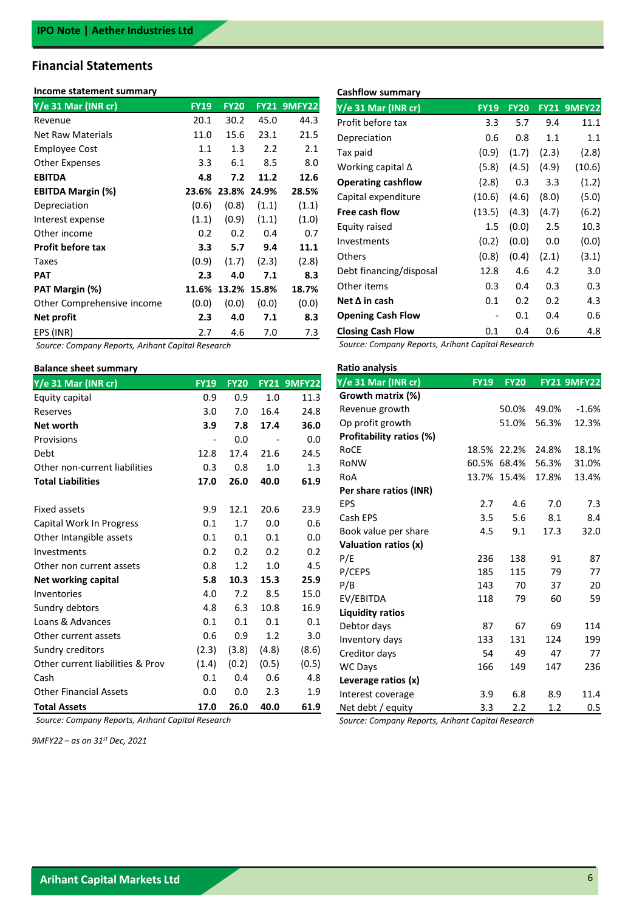## **Financial Statements**

#### **Income statement summary**

| Y/e 31 Mar (INR cr)        | <b>FY19</b> | <b>FY20</b> | <b>FY21</b> | <b>9MFY22</b> |
|----------------------------|-------------|-------------|-------------|---------------|
| Revenue                    | 20.1        | 30.2        | 45.0        | 44.3          |
| Net Raw Materials          | 11.0        | 15.6        | 23.1        | 21.5          |
| Employee Cost              | 1.1         | 1.3         | 2.2         | 2.1           |
| <b>Other Expenses</b>      | 3.3         | 6.1         | 8.5         | 8.0           |
| <b>EBITDA</b>              | 4.8         | 7.2         | 11.2        | 12.6          |
| EBITDA Margin (%)          | 23.6%       | 23.8%       | 24.9%       | 28.5%         |
| Depreciation               | (0.6)       | (0.8)       | (1.1)       | (1.1)         |
| Interest expense           | (1.1)       | (0.9)       | (1.1)       | (1.0)         |
| Other income               | 0.2         | 0.2         | 0.4         | 0.7           |
| <b>Profit before tax</b>   | 3.3         | 5.7         | 9.4         | 11.1          |
| Taxes                      | (0.9)       | (1.7)       | (2.3)       | (2.8)         |
| PAT                        | 2.3         | 4.0         | 7.1         | 8.3           |
| PAT Margin (%)             | 11.6%       | 13.2%       | 15.8%       | 18.7%         |
| Other Comprehensive income | (0.0)       | (0.0)       | (0.0)       | (0.0)         |
| Net profit                 | 2.3         | 4.0         | 7.1         | 8.3           |
| EPS (INR)                  | 2.7         | 4.6         | 7.0         | 7.3           |

*Source: Company Reports, Arihant Capital Research* 

#### **Balance sheet summary**

| $Y/e$ 31 Mar (INR cr)            | <b>FY19</b>              | <b>FY20</b> |                          | <b>FY21 9MFY22</b> |
|----------------------------------|--------------------------|-------------|--------------------------|--------------------|
| Equity capital                   | 0.9                      | 0.9         | 1.0                      | 11.3               |
| Reserves                         | 3.0                      | 7.0         | 16.4                     | 24.8               |
| Net worth                        | 3.9                      | 7.8         | 17.4                     | 36.0               |
| Provisions                       | $\overline{\phantom{m}}$ | 0.0         | $\overline{\phantom{a}}$ | 0.0                |
| Debt                             | 12.8                     | 17.4        | 21.6                     | 24.5               |
| Other non-current liabilities    | 0.3                      | 0.8         | 1.0                      | 1.3                |
| <b>Total Liabilities</b>         | 17.0                     | 26.0        | 40.0                     | 61.9               |
|                                  |                          |             |                          |                    |
| Fixed assets                     | 9.9                      | 12.1        | 20.6                     | 23.9               |
| Capital Work In Progress         | 0.1                      | 1.7         | 0.0                      | 0.6                |
| Other Intangible assets          | 0.1                      | 0.1         | 0.1                      | 0.0                |
| Investments                      | 0.2                      | 0.2         | 0.2                      | 0.2                |
| Other non current assets         | 0.8                      | 1.2         | 1.0                      | 4.5                |
| Net working capital              | 5.8                      | 10.3        | 15.3                     | 25.9               |
| Inventories                      | 4.0                      | 7.2         | 8.5                      | 15.0               |
| Sundry debtors                   | 4.8                      | 6.3         | 10.8                     | 16.9               |
| Loans & Advances                 | 0.1                      | 0.1         | 0.1                      | 0.1                |
| Other current assets             | 0.6                      | 0.9         | 1.2                      | 3.0                |
| Sundry creditors                 | (2.3)                    | (3.8)       | (4.8)                    | (8.6)              |
| Other current liabilities & Prov | (1.4)                    | (0.2)       | (0.5)                    | (0.5)              |
| Cash                             | 0.1                      | 0.4         | 0.6                      | 4.8                |
| <b>Other Financial Assets</b>    | 0.0                      | 0.0         | 2.3                      | 1.9                |
| <b>Total Assets</b>              | 17.0                     | 26.0        | 40.0                     | 61.9               |

*Source: Company Reports, Arihant Capital Research* 

*9MFY22 – as on 31st Dec, 2021*

# **Cashflow summary Y/e 31 Mar (INR cr) FY19 FY20 FY21 9MFY22** Profit before tax 3.3 5.7 9.4 11.1

| Depreciation              | 0.6    | 0.8   | 1.1   | 1.1    |
|---------------------------|--------|-------|-------|--------|
| Tax paid                  | (0.9)  | (1.7) | (2.3) | (2.8)  |
| Working capital $\Delta$  | (5.8)  | (4.5) | (4.9) | (10.6) |
| <b>Operating cashflow</b> | (2.8)  | 0.3   | 3.3   | (1.2)  |
| Capital expenditure       | (10.6) | (4.6) | (8.0) | (5.0)  |
| Free cash flow            | (13.5) | (4.3) | (4.7) | (6.2)  |
| Equity raised             | 1.5    | (0.0) | 2.5   | 10.3   |
| Investments               | (0.2)  | (0.0) | 0.0   | (0.0)  |
| Others                    | (0.8)  | (0.4) | (2.1) | (3.1)  |
| Debt financing/disposal   | 12.8   | 4.6   | 4.2   | 3.0    |
| Other items               | 0.3    | 0.4   | 0.3   | 0.3    |
| Net ∆ in cash             | 0.1    | 0.2   | 0.2   | 4.3    |
| <b>Opening Cash Flow</b>  | -      | 0.1   | 0.4   | 0.6    |
| <b>Closing Cash Flow</b>  | 0.1    | 0.4   | 0.6   | 4.8    |

*Source: Company Reports, Arihant Capital Research* 

| Ratio analysis           |             |             |       |                    |
|--------------------------|-------------|-------------|-------|--------------------|
| Y/e 31 Mar (INR cr)      | <b>FY19</b> | <b>FY20</b> |       | <b>FY21 9MFY22</b> |
| Growth matrix (%)        |             |             |       |                    |
| Revenue growth           |             | 50.0%       | 49.0% | $-1.6%$            |
| Op profit growth         |             | 51.0%       | 56.3% | 12.3%              |
| Profitability ratios (%) |             |             |       |                    |
| RoCE                     | 18.5%       | 22.2%       | 24.8% | 18.1%              |
| RoNW                     | 60.5%       | 68.4%       | 56.3% | 31.0%              |
| RoA                      | 13.7%       | 15.4%       | 17.8% | 13.4%              |
| Per share ratios (INR)   |             |             |       |                    |
| EPS                      | 2.7         | 4.6         | 7.0   | 7.3                |
| Cash EPS                 | 3.5         | 5.6         | 8.1   | 8.4                |
| Book value per share     | 4.5         | 9.1         | 17.3  | 32.0               |
| Valuation ratios (x)     |             |             |       |                    |
| P/E                      | 236         | 138         | 91    | 87                 |
| P/CEPS                   | 185         | 115         | 79    | 77                 |
| P/B                      | 143         | 70          | 37    | 20                 |
| EV/EBITDA                | 118         | 79          | 60    | 59                 |
| <b>Liquidity ratios</b>  |             |             |       |                    |
| Debtor days              | 87          | 67          | 69    | 114                |
| Inventory days           | 133         | 131         | 124   | 199                |
| Creditor days            | 54          | 49          | 47    | 77                 |
| <b>WC Days</b>           | 166         | 149         | 147   | 236                |
| Leverage ratios (x)      |             |             |       |                    |
| Interest coverage        | 3.9         | 6.8         | 8.9   | 11.4               |
| Net debt / equity        | 3.3         | 2.2         | 1.2   | 0.5                |

*Source: Company Reports, Arihant Capital Research*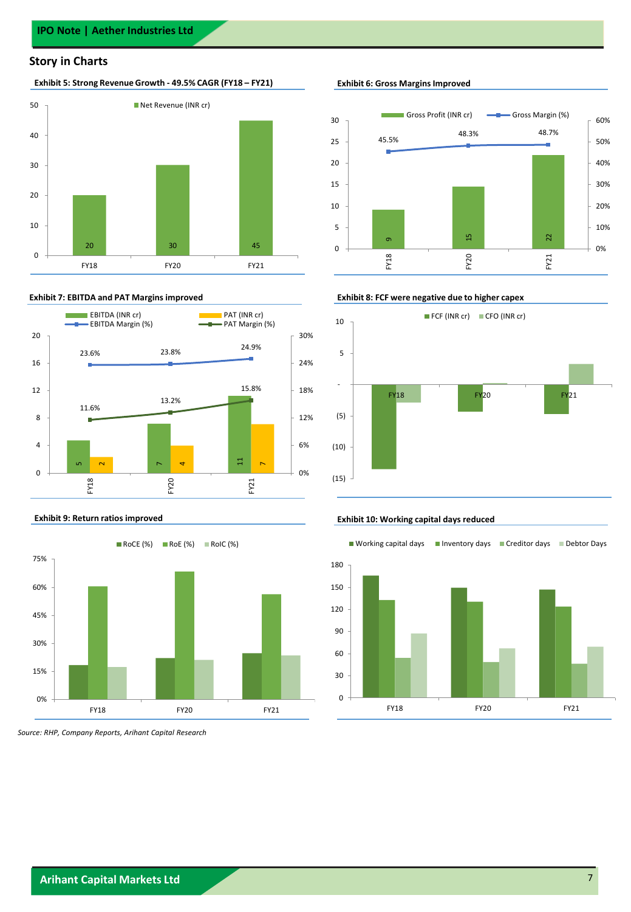#### **Story in Charts**

#### **Exhibit 5: Strong Revenue Growth - 49.5% CAGR (FY18 – FY21) Exhibit 6: Gross Margins Improved**







*Source: RHP, Company Reports, Arihant Capital Research*



#### **Exhibit 7: EBITDA and PAT Margins improved Exhibit 8: FCF were negative due to higher capex**